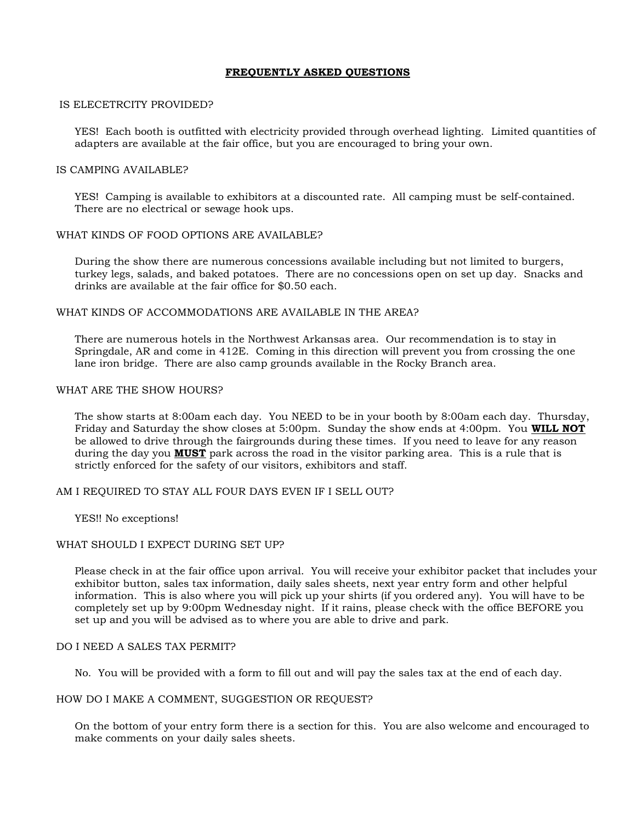## **FREQUENTLY ASKED QUESTIONS**

## IS ELECETRCITY PROVIDED?

YES! Each booth is outfitted with electricity provided through overhead lighting. Limited quantities of adapters are available at the fair office, but you are encouraged to bring your own.

## IS CAMPING AVAILABLE?

YES! Camping is available to exhibitors at a discounted rate. All camping must be self-contained. There are no electrical or sewage hook ups.

## WHAT KINDS OF FOOD OPTIONS ARE AVAILABLE?

During the show there are numerous concessions available including but not limited to burgers, turkey legs, salads, and baked potatoes. There are no concessions open on set up day. Snacks and drinks are available at the fair office for \$0.50 each.

## WHAT KINDS OF ACCOMMODATIONS ARE AVAILABLE IN THE AREA?

There are numerous hotels in the Northwest Arkansas area. Our recommendation is to stay in Springdale, AR and come in 412E. Coming in this direction will prevent you from crossing the one lane iron bridge. There are also camp grounds available in the Rocky Branch area.

## WHAT ARE THE SHOW HOURS?

The show starts at 8:00am each day. You NEED to be in your booth by 8:00am each day. Thursday, Friday and Saturday the show closes at 5:00pm. Sunday the show ends at 4:00pm. You **WILL NOT** be allowed to drive through the fairgrounds during these times. If you need to leave for any reason during the day you **MUST** park across the road in the visitor parking area. This is a rule that is strictly enforced for the safety of our visitors, exhibitors and staff.

## AM I REQUIRED TO STAY ALL FOUR DAYS EVEN IF I SELL OUT?

YES!! No exceptions!

#### WHAT SHOULD I EXPECT DURING SET UP?

Please check in at the fair office upon arrival. You will receive your exhibitor packet that includes your exhibitor button, sales tax information, daily sales sheets, next year entry form and other helpful information. This is also where you will pick up your shirts (if you ordered any). You will have to be completely set up by 9:00pm Wednesday night. If it rains, please check with the office BEFORE you set up and you will be advised as to where you are able to drive and park.

#### DO I NEED A SALES TAX PERMIT?

No. You will be provided with a form to fill out and will pay the sales tax at the end of each day.

#### HOW DO I MAKE A COMMENT, SUGGESTION OR REQUEST?

On the bottom of your entry form there is a section for this. You are also welcome and encouraged to make comments on your daily sales sheets.